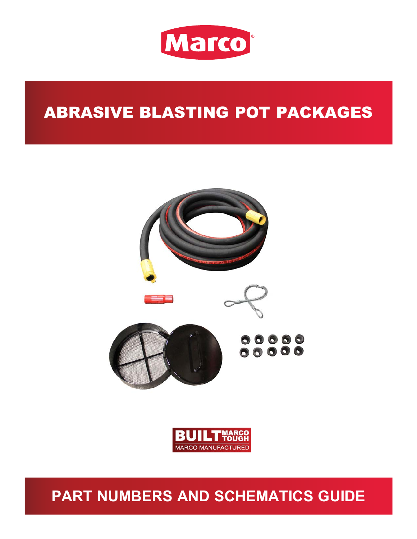

# ABRASIVE BLASTING POT PACKAGES





## **PART NUMBERS AND SCHEMATICS GUIDE**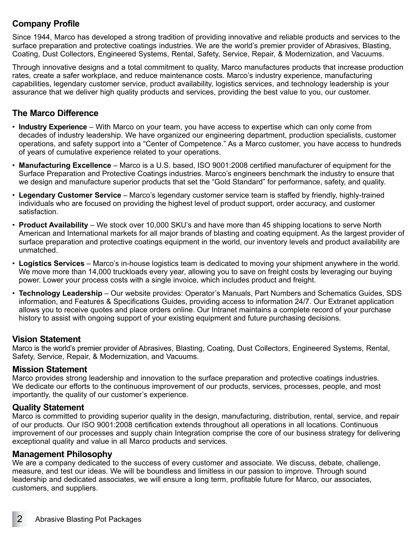#### **Company Profile**

Since 1944, Marco has developed a strong tradition of providing innovative and reliable products and services to the surface preparation and protective coatings industries. We are the world's premier provider of Abrasives, Blasting, Coating, Dust Collectors, Engineered Systems, Rental, Safety, Service, Repair, & Modernization, and Vacuums.

Through innovative designs and a total commitment to quality, Marco manufactures products that increase production rates, create a safer workplace, and reduce maintenance costs. Marco's industry experience, manufacturing capabilities, legendary customer service, product availability, logistics services, and technology leadership is your assurance that we deliver high quality products and services, providing the best value to you, our customer.

#### **The Marco Difference**

- **Industry Experience** With Marco on your team, you have access to expertise which can only come from decades of industry leadership. We have organized our engineering department, production specialists, customer operations, and safety support into a "Center of Competence." As a Marco customer, you have access to hundreds of years of cumulative experience related to your operations.
- **Manufacturing Excellence** Marco is a U.S. based, ISO 9001:2008 certified manufacturer of equipment for the Surface Preparation and Protective Coatings industries. Marco's engineers benchmark the industry to ensure that we design and manufacture superior products that set the "Gold Standard" for performance, safety, and quality.
- **Legendary Customer Service** Marco's legendary customer service team is staffed by friendly, highly-trained individuals who are focused on providing the highest level of product support, order accuracy, and customer satisfaction.
- **Product Availability** We stock over 10,000 SKU's and have more than 45 shipping locations to serve North American and International markets for all major brands of blasting and coating equipment. As the largest provider of surface preparation and protective coatings equipment in the world, our inventory levels and product availability are unmatched.
- **Logistics Services** Marco's in-house logistics team is dedicated to moving your shipment anywhere in the world. We move more than 14,000 truckloads every year, allowing you to save on freight costs by leveraging our buying power. Lower your process costs with a single invoice, which includes product and freight.
- **Technology Leadership** Our website provides: Operator's Manuals, Part Numbers and Schematics Guides, SDS information, and Features & Specifications Guides, providing access to information 24/7. Our Extranet application allows you to receive quotes and place orders online. Our Intranet maintains a complete record of your purchase history to assist with ongoing support of your existing equipment and future purchasing decisions.

#### **Vision Statement**

Marco is the world's premier provider of Abrasives, Blasting, Coating, Dust Collectors, Engineered Systems, Rental, Safety, Service, Repair, & Modernization, and Vacuums.

#### **Mission Statement**

Marco provides strong leadership and innovation to the surface preparation and protective coatings industries. We dedicate our efforts to the continuous improvement of our products, services, processes, people, and most importantly, the quality of our customer's experience.

#### **Quality Statement**

Marco is committed to providing superior quality in the design, manufacturing, distribution, rental, service, and repair of our products. Our ISO 9001:2008 certification extends throughout all operations in all locations. Continuous improvement of our processes and supply chain Integration comprise the core of our business strategy for delivering exceptional quality and value in all Marco products and services.

#### **Management Philosophy**

We are a company dedicated to the success of every customer and associate. We discuss, debate, challenge, measure, and test our ideas. We will be boundless and limitless in our passion to improve. Through sound leadership and dedicated associates, we will ensure a long term, profitable future for Marco, our associates, customers, and suppliers.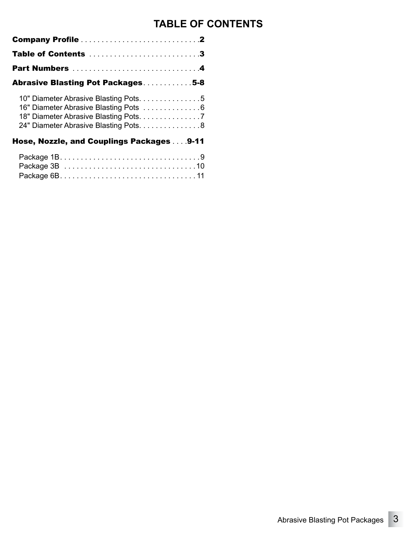## **TABLE OF CONTENTS**

| Table of Contents 3                                                                                                                                                 |
|---------------------------------------------------------------------------------------------------------------------------------------------------------------------|
| Part Numbers 4                                                                                                                                                      |
| Abrasive Blasting Pot Packages5-8                                                                                                                                   |
| 10" Diameter Abrasive Blasting Pots. 5<br>16" Diameter Abrasive Blasting Pots 6<br>18" Diameter Abrasive Blasting Pots. 7<br>24" Diameter Abrasive Blasting Pots. 8 |
| Hose, Nozzle, and Couplings Packages 9-11                                                                                                                           |
|                                                                                                                                                                     |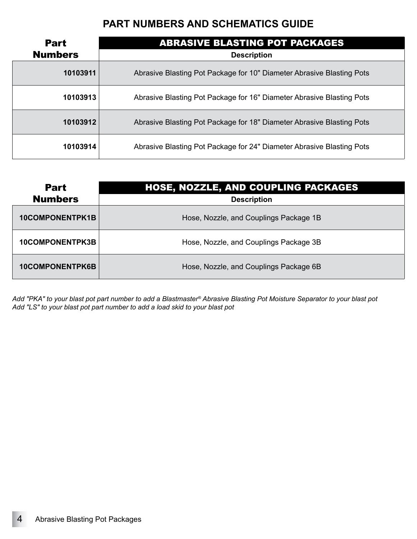<span id="page-3-0"></span>

| <b>Part</b>    | <b>ABRASIVE BLASTING POT PACKAGES</b>                                 |
|----------------|-----------------------------------------------------------------------|
| <b>Numbers</b> | <b>Description</b>                                                    |
| 10103911       | Abrasive Blasting Pot Package for 10" Diameter Abrasive Blasting Pots |
| 10103913       | Abrasive Blasting Pot Package for 16" Diameter Abrasive Blasting Pots |
| 10103912       | Abrasive Blasting Pot Package for 18" Diameter Abrasive Blasting Pots |
| 10103914       | Abrasive Blasting Pot Package for 24" Diameter Abrasive Blasting Pots |

| <b>Part</b>            | <b>HOSE, NOZZLE, AND COUPLING PACKAGES</b> |
|------------------------|--------------------------------------------|
| <b>Numbers</b>         | <b>Description</b>                         |
| <b>10COMPONENTPK1B</b> | Hose, Nozzle, and Couplings Package 1B     |
| <b>10COMPONENTPK3B</b> | Hose, Nozzle, and Couplings Package 3B     |
| <b>10COMPONENTPK6B</b> | Hose, Nozzle, and Couplings Package 6B     |

*Add "PKA" to your blast pot part number to add a Blastmaster® Abrasive Blasting Pot Moisture Separator to your blast pot Add "LS" to your blast pot part number to add a load skid to your blast pot*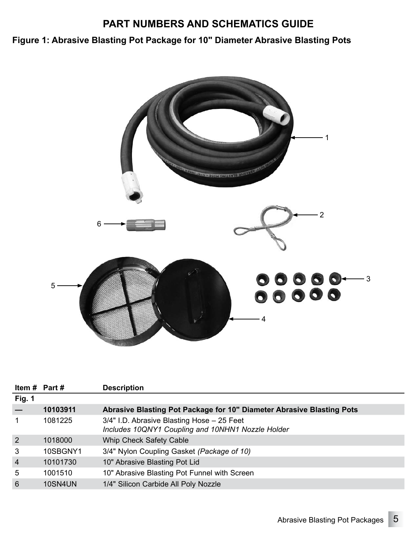<span id="page-4-0"></span>**Figure 1: Abrasive Blasting Pot Package for 10" Diameter Abrasive Blasting Pots**



|                | Item # Part #  | <b>Description</b>                                                                              |
|----------------|----------------|-------------------------------------------------------------------------------------------------|
| Fig. 1         |                |                                                                                                 |
|                | 10103911       | Abrasive Blasting Pot Package for 10" Diameter Abrasive Blasting Pots                           |
|                | 1081225        | 3/4" I.D. Abrasive Blasting Hose - 25 Feet<br>Includes 10QNY1 Coupling and 10NHN1 Nozzle Holder |
| 2              | 1018000        | Whip Check Safety Cable                                                                         |
| 3              | 10SBGNY1       | 3/4" Nylon Coupling Gasket (Package of 10)                                                      |
| $\overline{4}$ | 10101730       | 10" Abrasive Blasting Pot Lid                                                                   |
| 5              | 1001510        | 10" Abrasive Blasting Pot Funnel with Screen                                                    |
| 6              | <b>10SN4UN</b> | 1/4" Silicon Carbide All Poly Nozzle                                                            |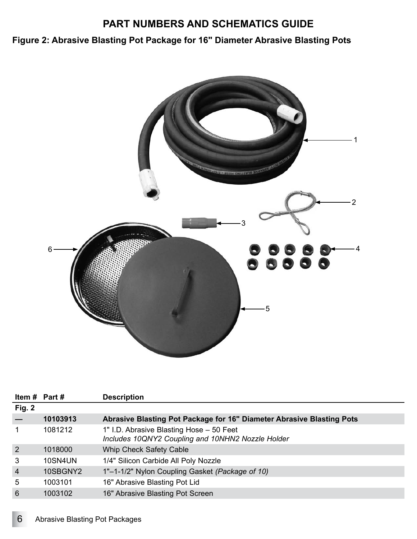<span id="page-5-0"></span>**Figure 2: Abrasive Blasting Pot Package for 16" Diameter Abrasive Blasting Pots**



| Item $#$ Part $#$ |          | <b>Description</b>                                                                            |
|-------------------|----------|-----------------------------------------------------------------------------------------------|
| Fig. 2            |          |                                                                                               |
|                   | 10103913 | Abrasive Blasting Pot Package for 16" Diameter Abrasive Blasting Pots                         |
| 1                 | 1081212  | 1" I.D. Abrasive Blasting Hose - 50 Feet<br>Includes 10QNY2 Coupling and 10NHN2 Nozzle Holder |
| $\overline{2}$    | 1018000  | Whip Check Safety Cable                                                                       |
| 3                 | 10SN4UN  | 1/4" Silicon Carbide All Poly Nozzle                                                          |
| $\overline{4}$    | 10SBGNY2 | 1"-1-1/2" Nylon Coupling Gasket (Package of 10)                                               |
| 5                 | 1003101  | 16" Abrasive Blasting Pot Lid                                                                 |
| 6                 | 1003102  | 16" Abrasive Blasting Pot Screen                                                              |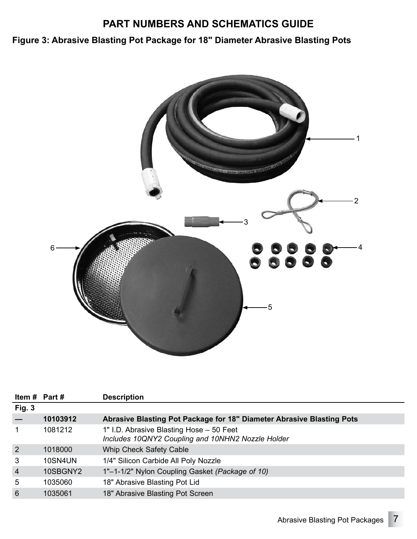<span id="page-6-0"></span>**Figure 3: Abrasive Blasting Pot Package for 18" Diameter Abrasive Blasting Pots**



| Item $#$ Part $#$ |          | <b>Description</b>                                                                            |
|-------------------|----------|-----------------------------------------------------------------------------------------------|
| <b>Fig. 3</b>     |          |                                                                                               |
|                   | 10103912 | Abrasive Blasting Pot Package for 18" Diameter Abrasive Blasting Pots                         |
|                   | 1081212  | 1" I.D. Abrasive Blasting Hose - 50 Feet<br>Includes 10QNY2 Coupling and 10NHN2 Nozzle Holder |
| 2                 | 1018000  | Whip Check Safety Cable                                                                       |
| 3                 | 10SN4UN  | 1/4" Silicon Carbide All Poly Nozzle                                                          |
| $\overline{4}$    | 10SBGNY2 | 1"-1-1/2" Nylon Coupling Gasket (Package of 10)                                               |
| 5                 | 1035060  | 18" Abrasive Blasting Pot Lid                                                                 |
| 6                 | 1035061  | 18" Abrasive Blasting Pot Screen                                                              |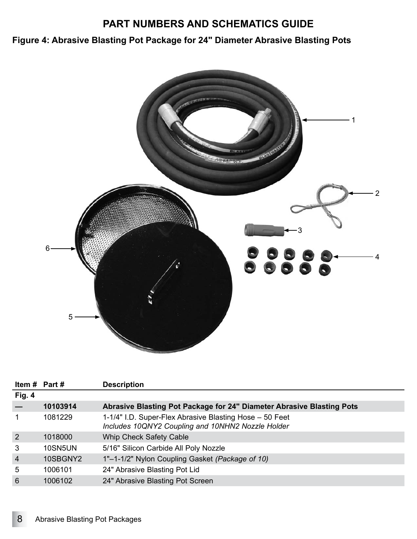<span id="page-7-0"></span>**Figure 4: Abrasive Blasting Pot Package for 24" Diameter Abrasive Blasting Pots**



|                | Item $#$ Part $#$ | <b>Description</b>                                                                                           |
|----------------|-------------------|--------------------------------------------------------------------------------------------------------------|
| Fig. 4         |                   |                                                                                                              |
|                | 10103914          | <b>Abrasive Blasting Pot Package for 24" Diameter Abrasive Blasting Pots</b>                                 |
|                | 1081229           | 1-1/4" I.D. Super-Flex Abrasive Blasting Hose - 50 Feet<br>Includes 10QNY2 Coupling and 10NHN2 Nozzle Holder |
| 2              | 1018000           | Whip Check Safety Cable                                                                                      |
| 3              | 10SN5UN           | 5/16" Silicon Carbide All Poly Nozzle                                                                        |
| $\overline{4}$ | 10SBGNY2          | 1"-1-1/2" Nylon Coupling Gasket (Package of 10)                                                              |
| 5              | 1006101           | 24" Abrasive Blasting Pot Lid                                                                                |
| 6              | 1006102           | 24" Abrasive Blasting Pot Screen                                                                             |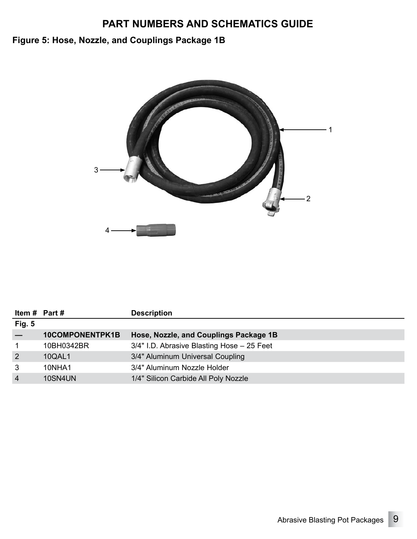## <span id="page-8-0"></span>**Figure 5: Hose, Nozzle, and Couplings Package 1B**



|               | Item $#$ Part $#$      | <b>Description</b>                         |
|---------------|------------------------|--------------------------------------------|
| <b>Fig. 5</b> |                        |                                            |
|               | <b>10COMPONENTPK1B</b> | Hose, Nozzle, and Couplings Package 1B     |
|               | 10BH0342BR             | 3/4" I.D. Abrasive Blasting Hose - 25 Feet |
| 2             | <b>10QAL1</b>          | 3/4" Aluminum Universal Coupling           |
| 3             | 10NHA1                 | 3/4" Aluminum Nozzle Holder                |
| 4             | 10SN4UN                | 1/4" Silicon Carbide All Poly Nozzle       |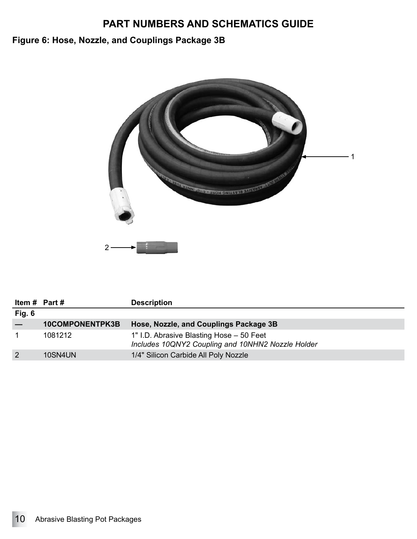## <span id="page-9-0"></span>**Figure 6: Hose, Nozzle, and Couplings Package 3B**



| Item # Part #  |                        | <b>Description</b>                                                                            |
|----------------|------------------------|-----------------------------------------------------------------------------------------------|
| Fig. $6$       |                        |                                                                                               |
|                | <b>10COMPONENTPK3B</b> | Hose, Nozzle, and Couplings Package 3B                                                        |
|                | 1081212                | 1" I.D. Abrasive Blasting Hose - 50 Feet<br>Includes 10QNY2 Coupling and 10NHN2 Nozzle Holder |
| $\overline{2}$ | 10SN4UN                | 1/4" Silicon Carbide All Poly Nozzle                                                          |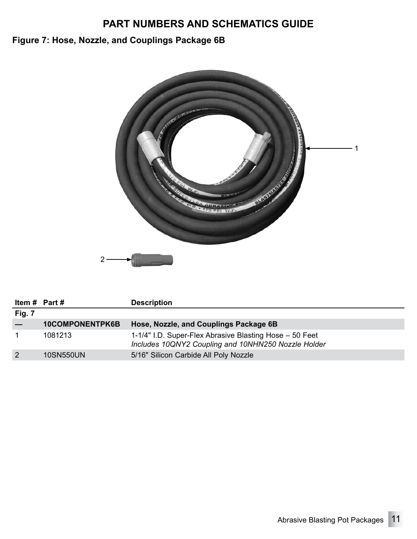## <span id="page-10-0"></span>**Figure 7: Hose, Nozzle, and Couplings Package 6B**



| Item $#$ Part $#$ |                        | <b>Description</b>                                                                                             |
|-------------------|------------------------|----------------------------------------------------------------------------------------------------------------|
| Fig. 7            |                        |                                                                                                                |
|                   | <b>10COMPONENTPK6B</b> | Hose, Nozzle, and Couplings Package 6B                                                                         |
|                   | 1081213                | 1-1/4" I.D. Super-Flex Abrasive Blasting Hose - 50 Feet<br>Includes 10QNY2 Coupling and 10NHN250 Nozzle Holder |
| $\overline{2}$    | <b>10SN550UN</b>       | 5/16" Silicon Carbide All Poly Nozzle                                                                          |